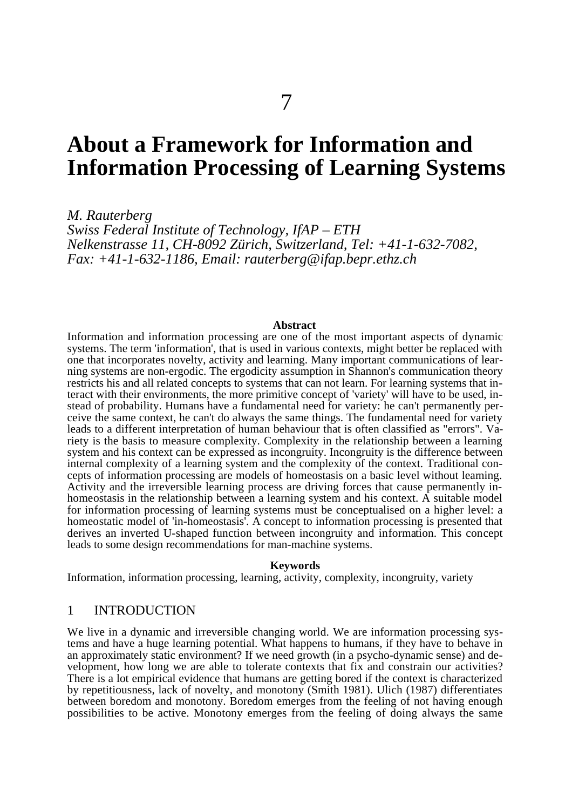# **About a Framework for Information and Information Processing of Learning Systems**

*M. Rauterberg*

*Swiss Federal Institute of Technology, IfAP – ETH Nelkenstrasse 11, CH-8092 Zürich, Switzerland, Tel: +41-1-632-7082, Fax: +41-1-632-1186, Email: rauterberg@ifap.bepr.ethz.ch*

#### **Abstract**

Information and information processing are one of the most important aspects of dynamic systems. The term 'information', that is used in various contexts, might better be replaced with one that incorporates novelty, activity and learning. Many important communications of learning systems are non-ergodic. The ergodicity assumption in Shannon's communication theory restricts his and all related concepts to systems that can not learn. For learning systems that interact with their environments, the more primitive concept of 'variety' will have to be used, instead of probability. Humans have a fundamental need for variety: he can't permanently perceive the same context, he can't do always the same things. The fundamental need for variety leads to a different interpretation of human behaviour that is often classified as "errors". Variety is the basis to measure complexity. Complexity in the relationship between a learning system and his context can be expressed as incongruity. Incongruity is the difference between internal complexity of a learning system and the complexity of the context. Traditional concepts of information processing are models of homeostasis on a basic level without learning. Activity and the irreversible learning process are driving forces that cause permanently inhomeostasis in the relationship between a learning system and his context. A suitable model for information processing of learning systems must be conceptualised on a higher level: a homeostatic model of 'in-homeostasis'. A concept to information processing is presented that derives an inverted U-shaped function between incongruity and information. This concept leads to some design recommendations for man-machine systems.

#### **Keywords**

Information, information processing, learning, activity, complexity, incongruity, variety

#### 1 INTRODUCTION

We live in a dynamic and irreversible changing world. We are information processing systems and have a huge learning potential. What happens to humans, if they have to behave in an approximately static environment? If we need growth (in a psycho-dynamic sense) and development, how long we are able to tolerate contexts that fix and constrain our activities? There is a lot empirical evidence that humans are getting bored if the context is characterized by repetitiousness, lack of novelty, and monotony (Smith 1981). Ulich (1987) differentiates between boredom and monotony. Boredom emerges from the feeling of not having enough possibilities to be active. Monotony emerges from the feeling of doing always the same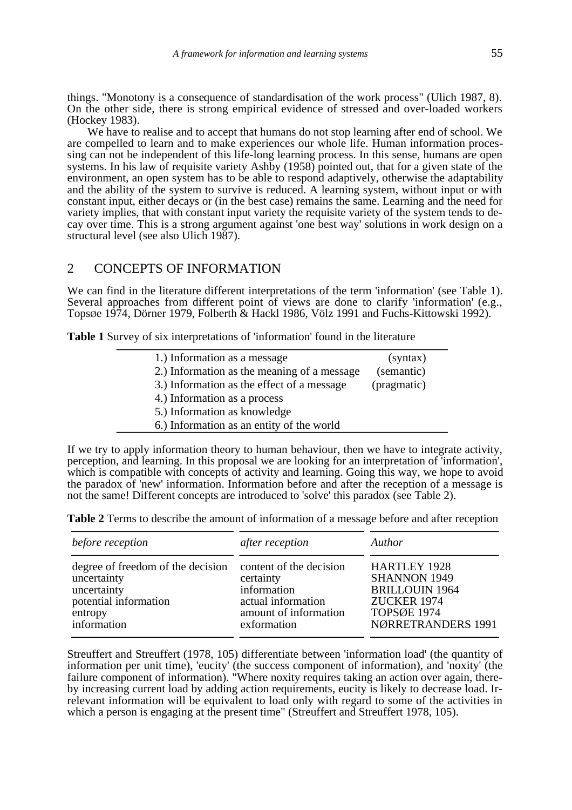things. "Monotony is a consequence of standardisation of the work process" (Ulich 1987, 8). On the other side, there is strong empirical evidence of stressed and over-loaded workers (Hockey 1983).

We have to realise and to accept that humans do not stop learning after end of school. We are compelled to learn and to make experiences our whole life. Human information processing can not be independent of this life-long learning process. In this sense, humans are open systems. In his law of requisite variety Ashby (1958) pointed out, that for a given state of the environment, an open system has to be able to respond adaptively, otherwise the adaptability and the ability of the system to survive is reduced. A learning system, without input or with constant input, either decays or (in the best case) remains the same. Learning and the need for variety implies, that with constant input variety the requisite variety of the system tends to decay over time. This is a strong argument against 'one best way' solutions in work design on a structural level (see also Ulich 1987).

#### 2 CONCEPTS OF INFORMATION

We can find in the literature different interpretations of the term 'information' (see Table 1). Several approaches from different point of views are done to clarify 'information' (e.g., TopsØe 1974, Dörner 1979, Folberth & Hackl 1986, Völz 1991 and Fuchs-Kittowski 1992).

**Table 1** Survey of six interpretations of 'information' found in the literature

| 1.) Information as a message                | (syntax)    |
|---------------------------------------------|-------------|
| 2.) Information as the meaning of a message | (semantic)  |
| 3.) Information as the effect of a message  | (pragmatic) |
| 4.) Information as a process                |             |
| 5.) Information as knowledge                |             |
| 6.) Information as an entity of the world   |             |

If we try to apply information theory to human behaviour, then we have to integrate activity, perception, and learning. In this proposal we are looking for an interpretation of 'information', which is compatible with concepts of activity and learning. Going this way, we hope to avoid the paradox of 'new' information. Information before and after the reception of a message is not the same! Different concepts are introduced to 'solve' this paradox (see Table 2).

| Table 2 Terms to describe the amount of information of a message before and after reception |  |  |  |  |  |  |
|---------------------------------------------------------------------------------------------|--|--|--|--|--|--|
|---------------------------------------------------------------------------------------------|--|--|--|--|--|--|

| before reception                  | after reception         | Author                |
|-----------------------------------|-------------------------|-----------------------|
| degree of freedom of the decision | content of the decision | <b>HARTLEY 1928</b>   |
| uncertainty                       | certainty               | <b>SHANNON 1949</b>   |
| uncertainty                       | information             | <b>BRILLOUIN 1964</b> |
| potential information             | actual information      | ZUCKER 1974           |
| entropy                           | amount of information   | <b>TOPSØE 1974</b>    |
| information                       | exformation             | NØRRETRANDERS 1991    |

Streuffert and Streuffert (1978, 105) differentiate between 'information load' (the quantity of information per unit time), 'eucity' (the success component of information), and 'noxity' (the failure component of information). "Where noxity requires taking an action over again, thereby increasing current load by adding action requirements, eucity is likely to decrease load. Irrelevant information will be equivalent to load only with regard to some of the activities in which a person is engaging at the present time" (Streuffert and Streuffert 1978, 105).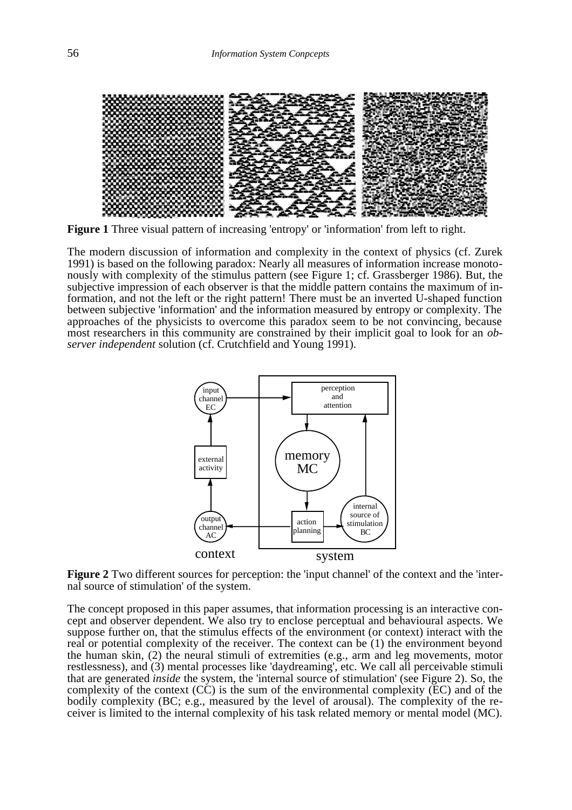

**Figure 1** Three visual pattern of increasing 'entropy' or 'information' from left to right.

The modern discussion of information and complexity in the context of physics (cf. Zurek 1991) is based on the following paradox: Nearly all measures of information increase monotonously with complexity of the stimulus pattern (see Figure 1; cf. Grassberger 1986). But, the subjective impression of each observer is that the middle pattern contains the maximum of information, and not the left or the right pattern! There must be an inverted U-shaped function between subjective 'information' and the information measured by entropy or complexity. The approaches of the physicists to overcome this paradox seem to be not convincing, because most researchers in this community are constrained by their implicit goal to look for an *observer independent* solution (cf. Crutchfield and Young 1991).



**Figure 2** Two different sources for perception: the 'input channel' of the context and the 'internal source of stimulation' of the system.

The concept proposed in this paper assumes, that information processing is an interactive concept and observer dependent. We also try to enclose perceptual and behavioural aspects. We suppose further on, that the stimulus effects of the environment (or context) interact with the real or potential complexity of the receiver. The context can be (1) the environment beyond the human skin, (2) the neural stimuli of extremities (e.g., arm and leg movements, motor restlessness), and (3) mental processes like 'daydreaming', etc. We call all perceivable stimuli that are generated *inside* the system, the 'internal source of stimulation' (see Figure 2). So, the complexity of the context  $(C\ddot{C})$  is the sum of the environmental complexity  $(EC)$  and of the bodily complexity (BC; e.g., measured by the level of arousal). The complexity of the receiver is limited to the internal complexity of his task related memory or mental model (MC).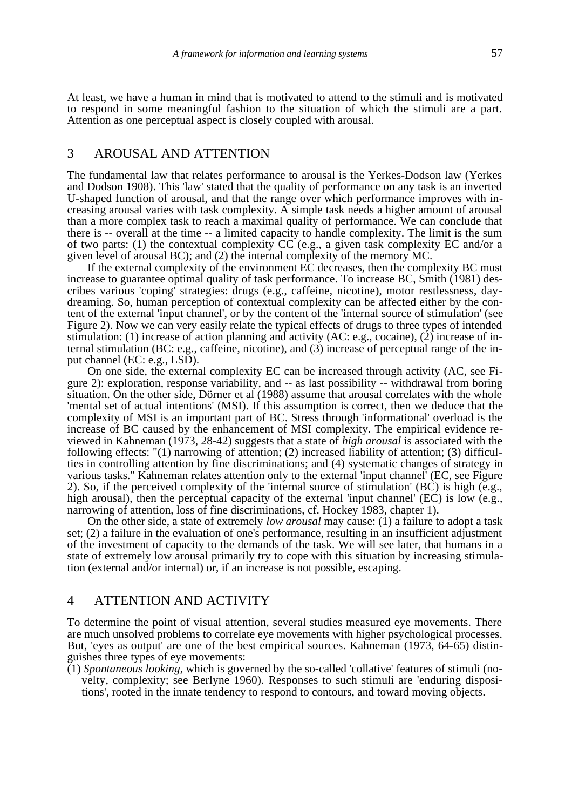At least, we have a human in mind that is motivated to attend to the stimuli and is motivated to respond in some meaningful fashion to the situation of which the stimuli are a part. Attention as one perceptual aspect is closely coupled with arousal.

#### 3 AROUSAL AND ATTENTION

The fundamental law that relates performance to arousal is the Yerkes-Dodson law (Yerkes and Dodson 1908). This 'law' stated that the quality of performance on any task is an inverted U-shaped function of arousal, and that the range over which performance improves with increasing arousal varies with task complexity. A simple task needs a higher amount of arousal than a more complex task to reach a maximal quality of performance. We can conclude that there is -- overall at the time -- a limited capacity to handle complexity. The limit is the sum of two parts: (1) the contextual complexity CC (e.g., a given task complexity EC and/or a given level of arousal BC); and (2) the internal complexity of the memory MC.

If the external complexity of the environment EC decreases, then the complexity BC must increase to guarantee optimal quality of task performance. To increase BC, Smith (1981) describes various 'coping' strategies: drugs (e.g., caffeine, nicotine), motor restlessness, daydreaming. So, human perception of contextual complexity can be affected either by the content of the external 'input channel', or by the content of the 'internal source of stimulation' (see Figure 2). Now we can very easily relate the typical effects of drugs to three types of intended stimulation: (1) increase of action planning and activity (AC: e.g., cocaine), (2) increase of internal stimulation (BC: e.g., caffeine, nicotine), and (3) increase of perceptual range of the input channel (EC: e.g., LSD).

On one side, the external complexity EC can be increased through activity (AC, see Figure 2): exploration, response variability, and -- as last possibility -- withdrawal from boring situation. On the other side, Dörner et al (1988) assume that arousal correlates with the whole 'mental set of actual intentions' (MSI). If this assumption is correct, then we deduce that the complexity of MSI is an important part of BC. Stress through 'informational' overload is the increase of BC caused by the enhancement of MSI complexity. The empirical evidence reviewed in Kahneman (1973, 28-42) suggests that a state of *high arousal* is associated with the following effects: "(1) narrowing of attention; (2) increased liability of attention; (3) difficulties in controlling attention by fine discriminations; and (4) systematic changes of strategy in various tasks." Kahneman relates attention only to the external 'input channel' (EC, see Figure 2). So, if the perceived complexity of the 'internal source of stimulation' (BC) is high (e.g., high arousal), then the perceptual capacity of the external 'input channel' (EC) is low (e.g., narrowing of attention, loss of fine discriminations, cf. Hockey 1983, chapter 1).

On the other side, a state of extremely *low arousal* may cause: (1) a failure to adopt a task set; (2) a failure in the evaluation of one's performance, resulting in an insufficient adjustment of the investment of capacity to the demands of the task. We will see later, that humans in a state of extremely low arousal primarily try to cope with this situation by increasing stimulation (external and/or internal) or, if an increase is not possible, escaping.

#### 4 ATTENTION AND ACTIVITY

To determine the point of visual attention, several studies measured eye movements. There are much unsolved problems to correlate eye movements with higher psychological processes. But, 'eyes as output' are one of the best empirical sources. Kahneman (1973, 64-65) distinguishes three types of eye movements:

(1) *Spontaneous looking*, which is governed by the so-called 'collative' features of stimuli (novelty, complexity; see Berlyne 1960). Responses to such stimuli are 'enduring dispositions', rooted in the innate tendency to respond to contours, and toward moving objects.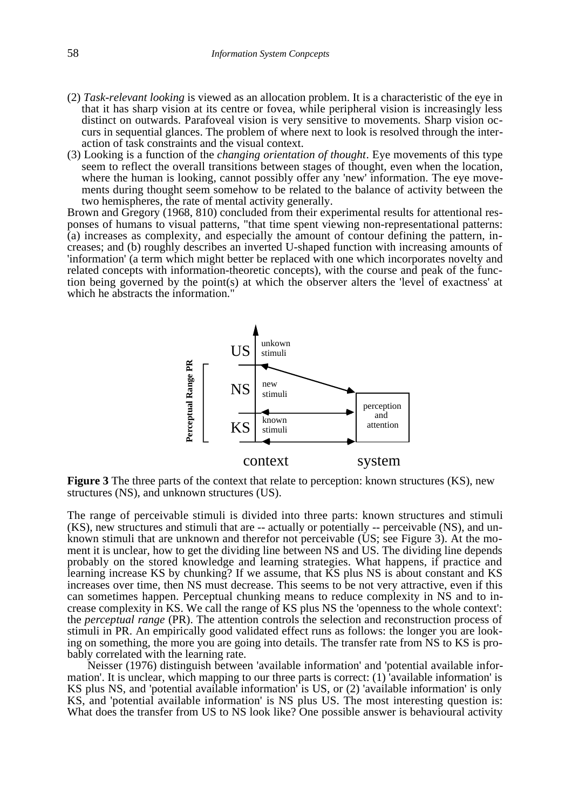- (2) *Task-relevant looking* is viewed as an allocation problem. It is a characteristic of the eye in that it has sharp vision at its centre or fovea, while peripheral vision is increasingly less distinct on outwards. Parafoveal vision is very sensitive to movements. Sharp vision occurs in sequential glances. The problem of where next to look is resolved through the interaction of task constraints and the visual context.
- (3) Looking is a function of the *changing orientation of thought*. Eye movements of this type seem to reflect the overall transitions between stages of thought, even when the location, where the human is looking, cannot possibly offer any 'new' information. The eye movements during thought seem somehow to be related to the balance of activity between the two hemispheres, the rate of mental activity generally.

Brown and Gregory (1968, 810) concluded from their experimental results for attentional responses of humans to visual patterns, "that time spent viewing non-representational patterns: (a) increases as complexity, and especially the amount of contour defining the pattern, increases; and (b) roughly describes an inverted U-shaped function with increasing amounts of 'information' (a term which might better be replaced with one which incorporates novelty and related concepts with information-theoretic concepts), with the course and peak of the function being governed by the point(s) at which the observer alters the 'level of exactness' at which he abstracts the information."



**Figure 3** The three parts of the context that relate to perception: known structures (KS), new structures (NS), and unknown structures (US).

The range of perceivable stimuli is divided into three parts: known structures and stimuli (KS), new structures and stimuli that are -- actually or potentially -- perceivable (NS), and unknown stimuli that are unknown and therefor not perceivable (US; see Figure 3). At the moment it is unclear, how to get the dividing line between NS and US. The dividing line depends probably on the stored knowledge and learning strategies. What happens, if practice and learning increase KS by chunking? If we assume, that KS plus NS is about constant and KS increases over time, then NS must decrease. This seems to be not very attractive, even if this can sometimes happen. Perceptual chunking means to reduce complexity in NS and to increase complexity in KS. We call the range of KS plus NS the 'openness to the whole context': the *perceptual range* (PR). The attention controls the selection and reconstruction process of stimuli in PR. An empirically good validated effect runs as follows: the longer you are looking on something, the more you are going into details. The transfer rate from NS to KS is probably correlated with the learning rate.

Neisser (1976) distinguish between 'available information' and 'potential available information'. It is unclear, which mapping to our three parts is correct: (1) 'available information' is KS plus NS, and 'potential available information' is US, or (2) 'available information' is only KS, and 'potential available information' is NS plus US. The most interesting question is: What does the transfer from US to NS look like? One possible answer is behavioural activity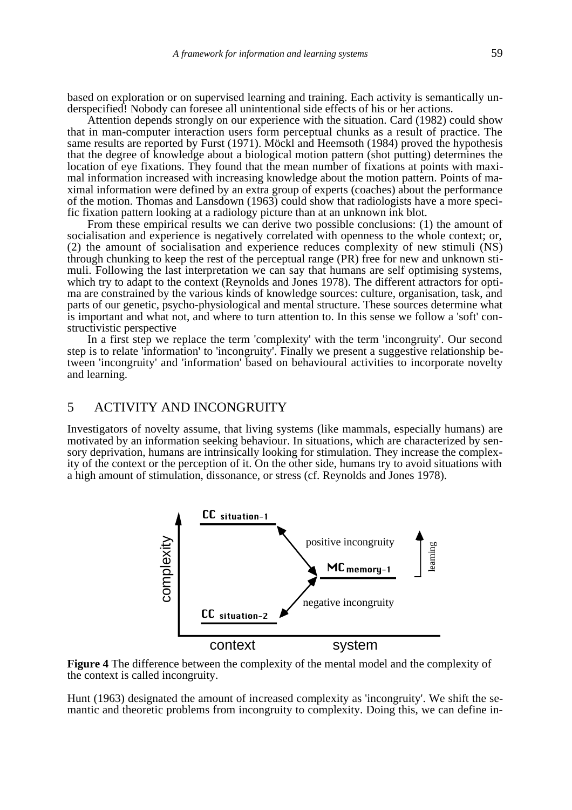based on exploration or on supervised learning and training. Each activity is semantically underspecified! Nobody can foresee all unintentional side effects of his or her actions.

Attention depends strongly on our experience with the situation. Card (1982) could show that in man-computer interaction users form perceptual chunks as a result of practice. The same results are reported by Furst (1971). Möckl and Heemsoth (1984) proved the hypothesis that the degree of knowledge about a biological motion pattern (shot putting) determines the location of eye fixations. They found that the mean number of fixations at points with maximal information increased with increasing knowledge about the motion pattern. Points of maximal information were defined by an extra group of experts (coaches) about the performance of the motion. Thomas and Lansdown (1963) could show that radiologists have a more specific fixation pattern looking at a radiology picture than at an unknown ink blot.

From these empirical results we can derive two possible conclusions: (1) the amount of socialisation and experience is negatively correlated with openness to the whole context; or, (2) the amount of socialisation and experience reduces complexity of new stimuli (NS) through chunking to keep the rest of the perceptual range (PR) free for new and unknown stimuli. Following the last interpretation we can say that humans are self optimising systems, which try to adapt to the context (Reynolds and Jones 1978). The different attractors for optima are constrained by the various kinds of knowledge sources: culture, organisation, task, and parts of our genetic, psycho-physiological and mental structure. These sources determine what is important and what not, and where to turn attention to. In this sense we follow a 'soft' constructivistic perspective

In a first step we replace the term 'complexity' with the term 'incongruity'. Our second step is to relate 'information' to 'incongruity'. Finally we present a suggestive relationship between 'incongruity' and 'information' based on behavioural activities to incorporate novelty and learning.

#### 5 ACTIVITY AND INCONGRUITY

Investigators of novelty assume, that living systems (like mammals, especially humans) are motivated by an information seeking behaviour. In situations, which are characterized by sensory deprivation, humans are intrinsically looking for stimulation. They increase the complexity of the context or the perception of it. On the other side, humans try to avoid situations with a high amount of stimulation, dissonance, or stress (cf. Reynolds and Jones 1978).





Hunt (1963) designated the amount of increased complexity as 'incongruity'. We shift the semantic and theoretic problems from incongruity to complexity. Doing this, we can define in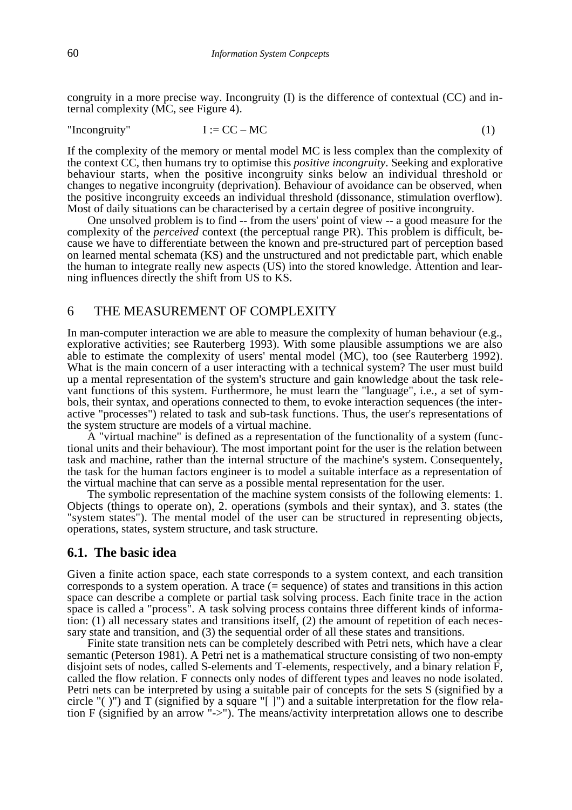congruity in a more precise way. Incongruity (I) is the difference of contextual (CC) and internal complexity (MC, see Figure 4).

$$
"Incongruity" \tI := CC - MC \t(1)
$$

If the complexity of the memory or mental model MC is less complex than the complexity of the context CC, then humans try to optimise this *positive incongruity*. Seeking and explorative behaviour starts, when the positive incongruity sinks below an individual threshold or changes to negative incongruity (deprivation). Behaviour of avoidance can be observed, when the positive incongruity exceeds an individual threshold (dissonance, stimulation overflow). Most of daily situations can be characterised by a certain degree of positive incongruity.

One unsolved problem is to find -- from the users' point of view -- a good measure for the complexity of the *perceived* context (the perceptual range PR). This problem is difficult, because we have to differentiate between the known and pre-structured part of perception based on learned mental schemata (KS) and the unstructured and not predictable part, which enable the human to integrate really new aspects (US) into the stored knowledge. Attention and learning influences directly the shift from US to KS.

#### 6 THE MEASUREMENT OF COMPLEXITY

In man-computer interaction we are able to measure the complexity of human behaviour (e.g., explorative activities; see Rauterberg 1993). With some plausible assumptions we are also able to estimate the complexity of users' mental model (MC), too (see Rauterberg 1992). What is the main concern of a user interacting with a technical system? The user must build up a mental representation of the system's structure and gain knowledge about the task relevant functions of this system. Furthermore, he must learn the "language", i.e., a set of symbols, their syntax, and operations connected to them, to evoke interaction sequences (the interactive "processes") related to task and sub-task functions. Thus, the user's representations of the system structure are models of a virtual machine.

A "virtual machine" is defined as a representation of the functionality of a system (functional units and their behaviour). The most important point for the user is the relation between task and machine, rather than the internal structure of the machine's system. Consequentely, the task for the human factors engineer is to model a suitable interface as a representation of the virtual machine that can serve as a possible mental representation for the user.

The symbolic representation of the machine system consists of the following elements: 1. Objects (things to operate on), 2. operations (symbols and their syntax), and 3. states (the "system states"). The mental model of the user can be structured in representing objects, operations, states, system structure, and task structure.

#### **6.1. The basic idea**

Given a finite action space, each state corresponds to a system context, and each transition corresponds to a system operation. A trace (= sequence) of states and transitions in this action space can describe a complete or partial task solving process. Each finite trace in the action space is called a "process". A task solving process contains three different kinds of information: (1) all necessary states and transitions itself, (2) the amount of repetition of each necessary state and transition, and (3) the sequential order of all these states and transitions.

Finite state transition nets can be completely described with Petri nets, which have a clear semantic (Peterson 1981). A Petri net is a mathematical structure consisting of two non-empty disjoint sets of nodes, called S-elements and T-elements, respectively, and a binary relation F, called the flow relation. F connects only nodes of different types and leaves no node isolated. Petri nets can be interpreted by using a suitable pair of concepts for the sets S (signified by a circle "( )") and T (signified by a square "[ ]") and a suitable interpretation for the flow relation F (signified by an arrow "->"). The means/activity interpretation allows one to describe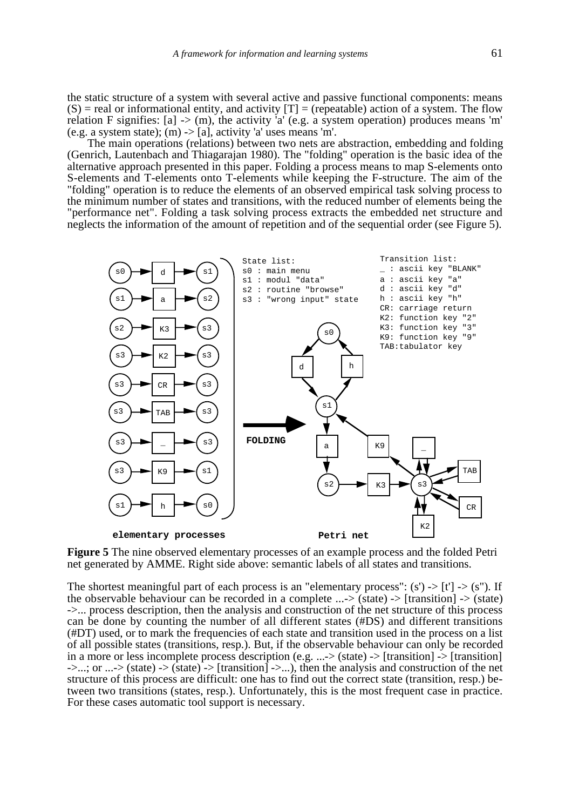the static structure of a system with several active and passive functional components: means  $(S)$  = real or informational entity, and activity  $[T]$  = (repeatable) action of a system. The flow relation F signifies:  $[a] \rightarrow (m)$ , the activity  $a'$  (e.g. a system operation) produces means 'm' (e.g. a system state); (m)  $\rightarrow$  [a], activity 'a' uses means 'm'.

The main operations (relations) between two nets are abstraction, embedding and folding (Genrich, Lautenbach and Thiagarajan 1980). The "folding" operation is the basic idea of the alternative approach presented in this paper. Folding a process means to map S-elements onto S-elements and T-elements onto T-elements while keeping the F-structure. The aim of the "folding" operation is to reduce the elements of an observed empirical task solving process to the minimum number of states and transitions, with the reduced number of elements being the "performance net". Folding a task solving process extracts the embedded net structure and neglects the information of the amount of repetition and of the sequential order (see Figure 5).



**Figure 5** The nine observed elementary processes of an example process and the folded Petri net generated by AMME. Right side above: semantic labels of all states and transitions.

The shortest meaningful part of each process is an "elementary process":  $(s') \rightarrow [t'] \rightarrow (s'')$ . If the observable behaviour can be recorded in a complete  $\ldots$  > (state) -> [transition] -> (state) ->... process description, then the analysis and construction of the net structure of this process can be done by counting the number of all different states (#DS) and different transitions (#DT) used, or to mark the frequencies of each state and transition used in the process on a list of all possible states (transitions, resp.). But, if the observable behaviour can only be recorded in a more or less incomplete process description (e.g. ...-> (state) -> [transition] -> [transition]  $\rightarrow$ ...; or ... $\rightarrow$  (state)  $\rightarrow$  (state)  $\rightarrow$  [transition]  $\rightarrow$ ...), then the analysis and construction of the net structure of this process are difficult: one has to find out the correct state (transition, resp.) between two transitions (states, resp.). Unfortunately, this is the most frequent case in practice. For these cases automatic tool support is necessary.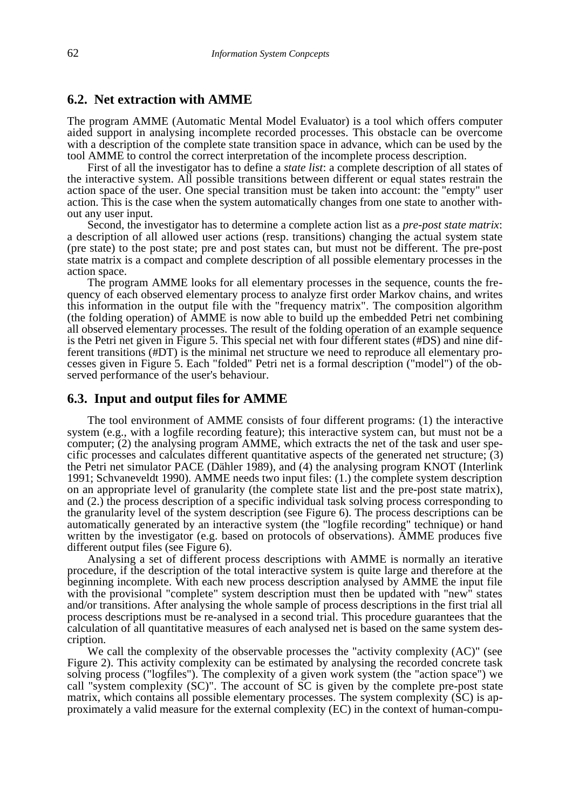#### **6.2. Net extraction with AMME**

The program AMME (Automatic Mental Model Evaluator) is a tool which offers computer aided support in analysing incomplete recorded processes. This obstacle can be overcome with a description of the complete state transition space in advance, which can be used by the tool AMME to control the correct interpretation of the incomplete process description.

First of all the investigator has to define a *state list*: a complete description of all states of the interactive system. All possible transitions between different or equal states restrain the action space of the user. One special transition must be taken into account: the "empty" user action. This is the case when the system automatically changes from one state to another without any user input.

Second, the investigator has to determine a complete action list as a *pre-post state matrix*: a description of all allowed user actions (resp. transitions) changing the actual system state (pre state) to the post state; pre and post states can, but must not be different. The pre-post state matrix is a compact and complete description of all possible elementary processes in the action space.

The program AMME looks for all elementary processes in the sequence, counts the frequency of each observed elementary process to analyze first order Markov chains, and writes this information in the output file with the "frequency matrix". The composition algorithm (the folding operation) of AMME is now able to build up the embedded Petri net combining all observed elementary processes. The result of the folding operation of an example sequence is the Petri net given in Figure 5. This special net with four different states (#DS) and nine different transitions (#DT) is the minimal net structure we need to reproduce all elementary processes given in Figure 5. Each "folded" Petri net is a formal description ("model") of the observed performance of the user's behaviour.

#### **6.3. Input and output files for AMME**

The tool environment of AMME consists of four different programs: (1) the interactive system (e.g., with a logfile recording feature); this interactive system can, but must not be a computer; (2) the analysing program AMME, which extracts the net of the task and user specific processes and calculates different quantitative aspects of the generated net structure; (3) the Petri net simulator PACE (Dähler 1989), and (4) the analysing program KNOT (Interlink 1991; Schvaneveldt 1990). AMME needs two input files: (1.) the complete system description on an appropriate level of granularity (the complete state list and the pre-post state matrix), and (2.) the process description of a specific individual task solving process corresponding to the granularity level of the system description (see Figure 6). The process descriptions can be automatically generated by an interactive system (the "logfile recording" technique) or hand written by the investigator (e.g. based on protocols of observations). AMME produces five different output files (see Figure 6).

Analysing a set of different process descriptions with AMME is normally an iterative procedure, if the description of the total interactive system is quite large and therefore at the beginning incomplete. With each new process description analysed by AMME the input file with the provisional "complete" system description must then be updated with "new" states and/or transitions. After analysing the whole sample of process descriptions in the first trial all process descriptions must be re-analysed in a second trial. This procedure guarantees that the calculation of all quantitative measures of each analysed net is based on the same system description.

We call the complexity of the observable processes the "activity complexity (AC)" (see Figure 2). This activity complexity can be estimated by analysing the recorded concrete task solving process ("logfiles"). The complexity of a given work system (the "action space") we call "system complexity (SC)". The account of SC is given by the complete pre-post state matrix, which contains all possible elementary processes. The system complexity (SC) is approximately a valid measure for the external complexity (EC) in the context of human-compu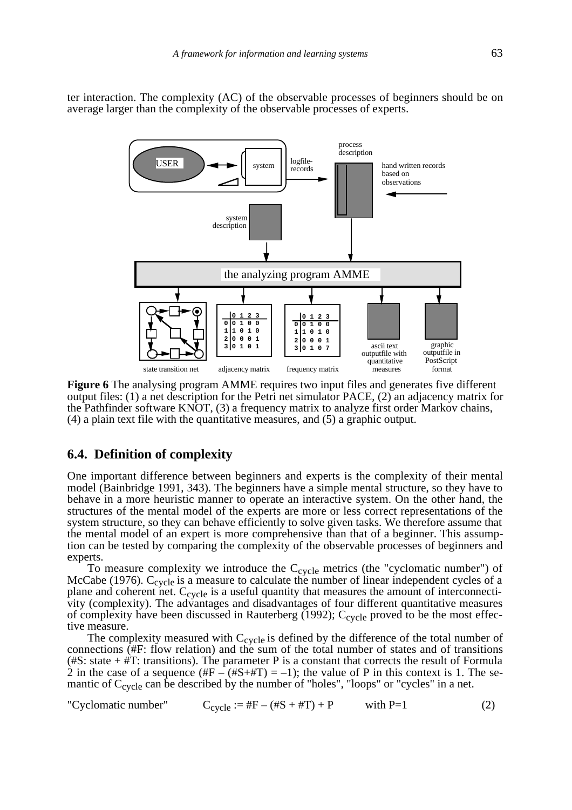ter interaction. The complexity (AC) of the observable processes of beginners should be on average larger than the complexity of the observable processes of experts.



**Figure 6** The analysing program AMME requires two input files and generates five different output files: (1) a net description for the Petri net simulator PACE, (2) an adjacency matrix for the Pathfinder software KNOT, (3) a frequency matrix to analyze first order Markov chains, (4) a plain text file with the quantitative measures, and (5) a graphic output.

#### **6.4. Definition of complexity**

One important difference between beginners and experts is the complexity of their mental model (Bainbridge 1991, 343). The beginners have a simple mental structure, so they have to behave in a more heuristic manner to operate an interactive system. On the other hand, the structures of the mental model of the experts are more or less correct representations of the system structure, so they can behave efficiently to solve given tasks. We therefore assume that the mental model of an expert is more comprehensive than that of a beginner. This assumption can be tested by comparing the complexity of the observable processes of beginners and experts.

To measure complexity we introduce the  $C_{\text{cycle}}$  metrics (the "cyclomatic number") of McCabe (1976).  $C_{\text{cycle}}$  is a measure to calculate the number of linear independent cycles of a plane and coherent net.  $C_{\text{cycle}}$  is a useful quantity that measures the amount of interconnectivity (complexity). The advantages and disadvantages of four different quantitative measures of complexity have been discussed in Rauterberg  $(1992)$ ; C<sub>cycle</sub> proved to be the most effective measure.

The complexity measured with  $C_{\text{cycle}}$  is defined by the difference of the total number of connections (#F: flow relation) and the sum of the total number of states and of transitions (#S: state  $+$  #T: transitions). The parameter P is a constant that corrects the result of Formula 2 in the case of a sequence  $(\#F - (\#S + \#T) = -1)$ ; the value of P in this context is 1. The semantic of C<sub>cycle</sub> can be described by the number of "holes", "loops" or "cycles" in a net.

"Cyclomatic number" 
$$
C_{\text{cycle}} := #F - (#S + #T) + P
$$
 with P=1 (2)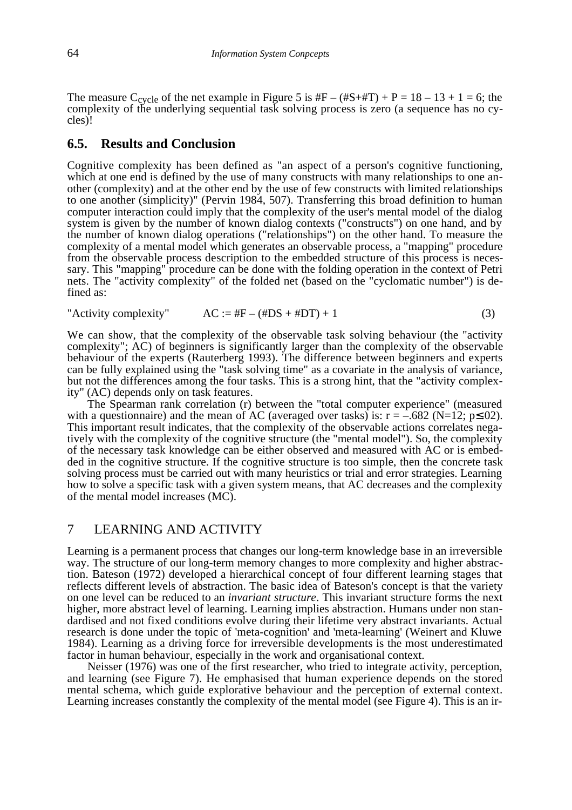The measure C<sub>cycle</sub> of the net example in Figure 5 is  $#F - (#S + #T) + P = 18 - 13 + 1 = 6$ ; the complexity of the underlying sequential task solving process is zero (a sequence has no cycles)!

#### **6.5. Results and Conclusion**

Cognitive complexity has been defined as "an aspect of a person's cognitive functioning, which at one end is defined by the use of many constructs with many relationships to one another (complexity) and at the other end by the use of few constructs with limited relationships to one another (simplicity)" (Pervin 1984, 507). Transferring this broad definition to human computer interaction could imply that the complexity of the user's mental model of the dialog system is given by the number of known dialog contexts ("constructs") on one hand, and by the number of known dialog operations ("relationships") on the other hand. To measure the complexity of a mental model which generates an observable process, a "mapping" procedure from the observable process description to the embedded structure of this process is necessary. This "mapping" procedure can be done with the folding operation in the context of Petri nets. The "activity complexity" of the folded net (based on the "cyclomatic number") is defined as:

"Activity complexity"  $AC := \#F - (\#DS + \#DT) + 1$  (3)

We can show, that the complexity of the observable task solving behaviour (the "activity complexity"; AC) of beginners is significantly larger than the complexity of the observable behaviour of the experts (Rauterberg 1993). The difference between beginners and experts can be fully explained using the "task solving time" as a covariate in the analysis of variance, but not the differences among the four tasks. This is a strong hint, that the "activity complexity" (AC) depends only on task features.

The Spearman rank correlation (r) between the "total computer experience" (measured with a questionnaire) and the mean of AC (averaged over tasks) is:  $r = -.682$  (N=12; p $\leq .02$ ). This important result indicates, that the complexity of the observable actions correlates negatively with the complexity of the cognitive structure (the "mental model"). So, the complexity of the necessary task knowledge can be either observed and measured with AC or is embedded in the cognitive structure. If the cognitive structure is too simple, then the concrete task solving process must be carried out with many heuristics or trial and error strategies. Learning how to solve a specific task with a given system means, that AC decreases and the complexity of the mental model increases (MC).

#### 7 LEARNING AND ACTIVITY

Learning is a permanent process that changes our long-term knowledge base in an irreversible way. The structure of our long-term memory changes to more complexity and higher abstraction. Bateson (1972) developed a hierarchical concept of four different learning stages that reflects different levels of abstraction. The basic idea of Bateson's concept is that the variety on one level can be reduced to an *invariant structure*. This invariant structure forms the next higher, more abstract level of learning. Learning implies abstraction. Humans under non standardised and not fixed conditions evolve during their lifetime very abstract invariants. Actual research is done under the topic of 'meta-cognition' and 'meta-learning' (Weinert and Kluwe 1984). Learning as a driving force for irreversible developments is the most underestimated factor in human behaviour, especially in the work and organisational context.

Neisser (1976) was one of the first researcher, who tried to integrate activity, perception, and learning (see Figure 7). He emphasised that human experience depends on the stored mental schema, which guide explorative behaviour and the perception of external context. Learning increases constantly the complexity of the mental model (see Figure 4). This is an ir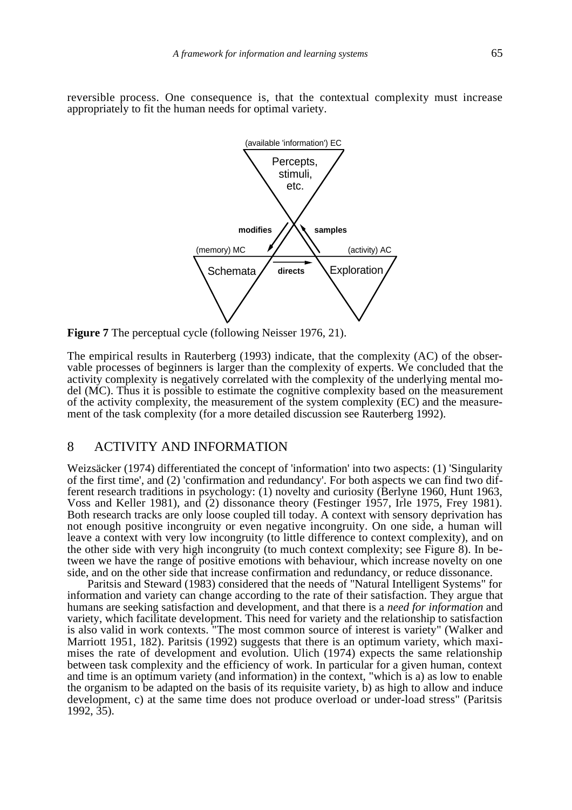reversible process. One consequence is, that the contextual complexity must increase appropriately to fit the human needs for optimal variety.



**Figure 7** The perceptual cycle (following Neisser 1976, 21).

The empirical results in Rauterberg (1993) indicate, that the complexity (AC) of the observable processes of beginners is larger than the complexity of experts. We concluded that the activity complexity is negatively correlated with the complexity of the underlying mental model (MC). Thus it is possible to estimate the cognitive complexity based on the measurement of the activity complexity, the measurement of the system complexity (EC) and the measurement of the task complexity (for a more detailed discussion see Rauterberg 1992).

#### 8 ACTIVITY AND INFORMATION

Weizsäcker (1974) differentiated the concept of 'information' into two aspects: (1) 'Singularity of the first time', and (2) 'confirmation and redundancy'. For both aspects we can find two different research traditions in psychology: (1) novelty and curiosity (Berlyne 1960, Hunt 1963, Voss and Keller 1981), and (2) dissonance theory (Festinger 1957, Irle 1975, Frey 1981). Both research tracks are only loose coupled till today. A context with sensory deprivation has not enough positive incongruity or even negative incongruity. On one side, a human will leave a context with very low incongruity (to little difference to context complexity), and on the other side with very high incongruity (to much context complexity; see Figure 8). In between we have the range of positive emotions with behaviour, which increase novelty on one side, and on the other side that increase confirmation and redundancy, or reduce dissonance.

Paritsis and Steward (1983) considered that the needs of "Natural Intelligent Systems" for information and variety can change according to the rate of their satisfaction. They argue that humans are seeking satisfaction and development, and that there is a *need for information* and variety, which facilitate development. This need for variety and the relationship to satisfaction is also valid in work contexts. "The most common source of interest is variety" (Walker and Marriott 1951, 182). Paritsis (1992) suggests that there is an optimum variety, which maximises the rate of development and evolution. Ulich (1974) expects the same relationship between task complexity and the efficiency of work. In particular for a given human, context and time is an optimum variety (and information) in the context, "which is a) as low to enable the organism to be adapted on the basis of its requisite variety, b) as high to allow and induce development, c) at the same time does not produce overload or under-load stress" (Paritsis 1992, 35).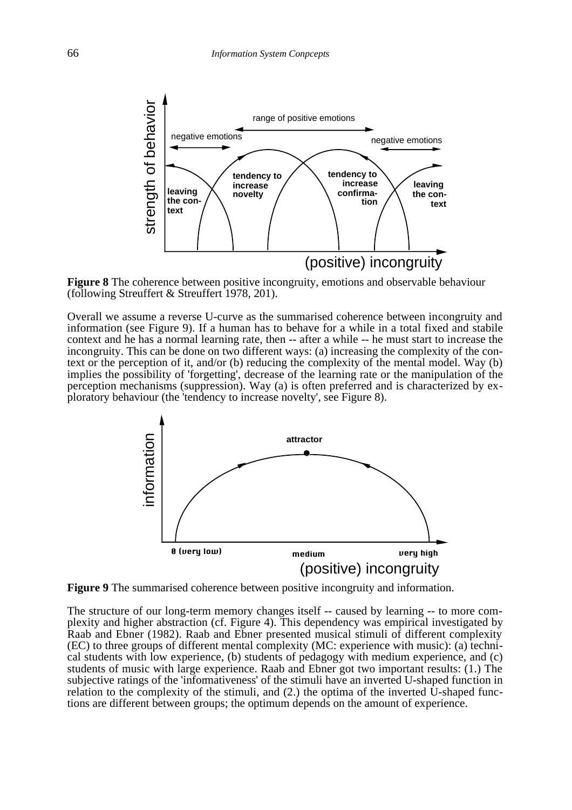

**Figure 8** The coherence between positive incongruity, emotions and observable behaviour (following Streuffert & Streuffert 1978, 201).

Overall we assume a reverse U-curve as the summarised coherence between incongruity and information (see Figure 9). If a human has to behave for a while in a total fixed and stabile context and he has a normal learning rate, then -- after a while -- he must start to increase the incongruity. This can be done on two different ways: (a) increasing the complexity of the context or the perception of it, and/or (b) reducing the complexity of the mental model. Way (b) implies the possibility of 'forgetting', decrease of the learning rate or the manipulation of the perception mechanisms (suppression). Way (a) is often preferred and is characterized by exploratory behaviour (the 'tendency to increase novelty', see Figure 8).



**Figure 9** The summarised coherence between positive incongruity and information.

The structure of our long-term memory changes itself -- caused by learning -- to more complexity and higher abstraction (cf. Figure 4). This dependency was empirical investigated by Raab and Ebner (1982). Raab and Ebner presented musical stimuli of different complexity (EC) to three groups of different mental complexity (MC: experience with music): (a) technical students with low experience, (b) students of pedagogy with medium experience, and (c) students of music with large experience. Raab and Ebner got two important results: (1.) The subjective ratings of the 'informativeness' of the stimuli have an inverted U-shaped function in relation to the complexity of the stimuli, and  $(2)$  the optima of the inverted  $\tilde{U}$ -shaped functions are different between groups; the optimum depends on the amount of experience.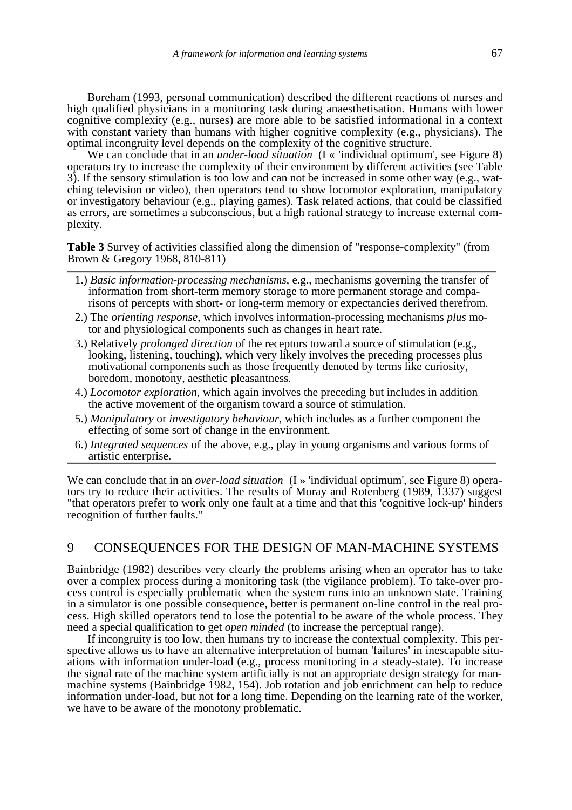Boreham (1993, personal communication) described the different reactions of nurses and high qualified physicians in a monitoring task during anaesthetisation. Humans with lower cognitive complexity (e.g., nurses) are more able to be satisfied informational in a context with constant variety than humans with higher cognitive complexity (e.g., physicians). The optimal incongruity level depends on the complexity of the cognitive structure.

We can conclude that in an *under-load situation* (I « 'individual optimum', see Figure 8) operators try to increase the complexity of their environment by different activities (see Table 3). If the sensory stimulation is too low and can not be increased in some other way (e.g., watching television or video), then operators tend to show locomotor exploration, manipulatory or investigatory behaviour (e.g., playing games). Task related actions, that could be classified as errors, are sometimes a subconscious, but a high rational strategy to increase external complexity.

**Table 3** Survey of activities classified along the dimension of "response-complexity" (from Brown & Gregory 1968, 810-811)

- 1.) *Basic information-processing mechanisms*, e.g., mechanisms governing the transfer of information from short-term memory storage to more permanent storage and comparisons of percepts with short- or long-term memory or expectancies derived therefrom.
- 2.) The *orienting response*, which involves information-processing mechanisms *plus* motor and physiological components such as changes in heart rate.
- 3.) Relatively *prolonged direction* of the receptors toward a source of stimulation (e.g., looking, listening, touching), which very likely involves the preceding processes plus motivational components such as those frequently denoted by terms like curiosity, boredom, monotony, aesthetic pleasantness.
- 4.) *Locomotor exploration*, which again involves the preceding but includes in addition the active movement of the organism toward a source of stimulation.
- 5.) *Manipulatory* or *investigatory behaviour*, which includes as a further component the effecting of some sort of change in the environment.
- 6.) *Integrated sequences* of the above, e.g., play in young organisms and various forms of artistic enterprise.

We can conclude that in an *over-load situation* (I » 'individual optimum', see Figure 8) operators try to reduce their activities. The results of Moray and Rotenberg (1989, 1337) suggest "that operators prefer to work only one fault at a time and that this 'cognitive lock-up' hinders recognition of further faults."

#### 9 CONSEQUENCES FOR THE DESIGN OF MAN-MACHINE SYSTEMS

Bainbridge (1982) describes very clearly the problems arising when an operator has to take over a complex process during a monitoring task (the vigilance problem). To take-over process control is especially problematic when the system runs into an unknown state. Training in a simulator is one possible consequence, better is permanent on-line control in the real process. High skilled operators tend to lose the potential to be aware of the whole process. They need a special qualification to get *open minded* (to increase the perceptual range).

If incongruity is too low, then humans try to increase the contextual complexity. This perspective allows us to have an alternative interpretation of human 'failures' in inescapable situations with information under-load (e.g., process monitoring in a steady-state). To increase the signal rate of the machine system artificially is not an appropriate design strategy for manmachine systems (Bainbridge 1982, 154). Job rotation and job enrichment can help to reduce information under-load, but not for a long time. Depending on the learning rate of the worker, we have to be aware of the monotony problematic.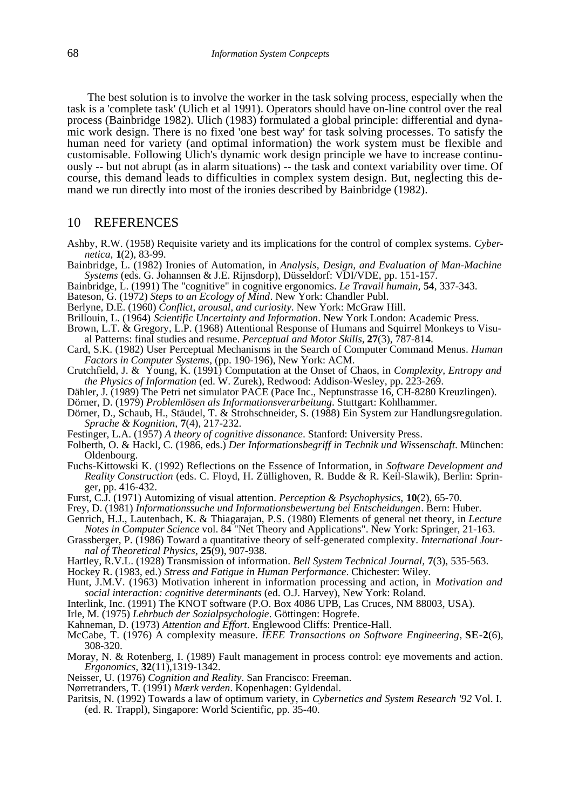The best solution is to involve the worker in the task solving process, especially when the task is a 'complete task' (Ulich et al 1991). Operators should have on-line control over the real process (Bainbridge 1982). Ulich (1983) formulated a global principle: differential and dynamic work design. There is no fixed 'one best way' for task solving processes. To satisfy the human need for variety (and optimal information) the work system must be flexible and customisable. Following Ulich's dynamic work design principle we have to increase continuously -- but not abrupt (as in alarm situations) -- the task and context variability over time. Of course, this demand leads to difficulties in complex system design. But, neglecting this demand we run directly into most of the ironies described by Bainbridge (1982).

#### 10 REFERENCES

- Ashby, R.W. (1958) Requisite variety and its implications for the control of complex systems. *Cybernetica,* **1**(2), 83-99.
- Bainbridge, L. (1982) Ironies of Automation, in *Analysis, Design, and Evaluation of Man-Machine Systems* (eds. G. Johannsen & J.E. Rijnsdorp), Düsseldorf: VDI/VDE, pp. 151-157.
- Bainbridge, L. (1991) The "cognitive" in cognitive ergonomics. *Le Travail humain,* **54**, 337-343.
- Bateson, G. (1972) *Steps to an Ecology of Mind*. New York: Chandler Publ.
- Berlyne, D.E. (1960) *Conflict, arousal, and curiosity*. New York: McGraw Hill.
- Brillouin, L. (1964) *Scientific Uncertainty and Information*. New York London: Academic Press.
- Brown, L.T. & Gregory, L.P. (1968) Attentional Response of Humans and Squirrel Monkeys to Visual Patterns: final studies and resume. *Perceptual and Motor Skills,* **27**(3), 787-814.
- Card, S.K. (1982) User Perceptual Mechanisms in the Search of Computer Command Menus. *Human Factors in Computer Systems*, (pp. 190-196), New York: ACM.
- Crutchfield, J. & Young, K. (1991) Computation at the Onset of Chaos, in *Complexity, Entropy and the Physics of Information* (ed. W. Zurek), Redwood: Addison-Wesley, pp. 223-269.
- Dähler, J. (1989) The Petri net simulator PACE (Pace Inc., Neptunstrasse 16, CH-8280 Kreuzlingen).
- Dörner, D. (1979) *Problemlösen als Informationsverarbeitung*. Stuttgart: Kohlhammer.
- Dörner, D., Schaub, H., Stäudel, T. & Strohschneider, S. (1988) Ein System zur Handlungsregulation. *Sprache & Kognition,* **7**(4), 217-232.
- Festinger, L.A. (1957) *A theory of cognitive dissonance*. Stanford: University Press.
- Folberth, O. & Hackl, C. (1986, eds.) *Der Informationsbegriff in Technik und Wissenschaft*. München: Oldenbourg.
- Fuchs-Kittowski K. (1992) Reflections on the Essence of Information, in *Software Development and Reality Construction* (eds. C. Floyd, H. Züllighoven, R. Budde & R. Keil-Slawik), Berlin: Springer, pp. 416-432.
- Furst, C.J. (1971) Automizing of visual attention. *Perception & Psychophysics,* **10**(2), 65-70.
- Frey, D. (1981) *Informationssuche und Informationsbewertung bei Entscheidungen*. Bern: Huber.
- Genrich, H.J., Lautenbach, K. & Thiagarajan, P.S. (1980) Elements of general net theory, in *Lecture Notes in Computer Science* vol. 84 "Net Theory and Applications". New York: Springer, 21-163.
- Grassberger, P. (1986) Toward a quantitative theory of self-generated complexity. *International Journal of Theoretical Physics,* **25**(9), 907-938.
- Hartley, R.V.L. (1928) Transmission of information. *Bell System Technical Journal,* **7**(3), 535-563.
- Hockey R. (1983, ed.) *Stress and Fatigue in Human Performance*. Chichester: Wiley.
- Hunt, J.M.V. (1963) Motivation inherent in information processing and action, in *Motivation and social interaction: cognitive determinants* (ed. O.J. Harvey), New York: Roland.
- Interlink, Inc. (1991) The KNOT software (P.O. Box 4086 UPB, Las Cruces, NM 88003, USA).
- Irle, M. (1975) *Lehrbuch der Sozialpsychologie*. Göttingen: Hogrefe.
- Kahneman, D. (1973) *Attention and Effort*. Englewood Cliffs: Prentice-Hall.
- McCabe, T. (1976) A complexity measure. *IEEE Transactions on Software Engineering*, **SE-2**(6), 308-320.
- Moray, N. & Rotenberg, I. (1989) Fault management in process control: eye movements and action. *Ergonomics*, **32**(11),1319-1342.
- Neisser, U. (1976) *Cognition and Reality*. San Francisco: Freeman.
- Nørretranders, T. (1991) *Mærk verden*. Kopenhagen: Gyldendal.
- Paritsis, N. (1992) Towards a law of optimum variety, in *Cybernetics and System Research '92* Vol. I. (ed. R. Trappl), Singapore: World Scientific, pp. 35-40.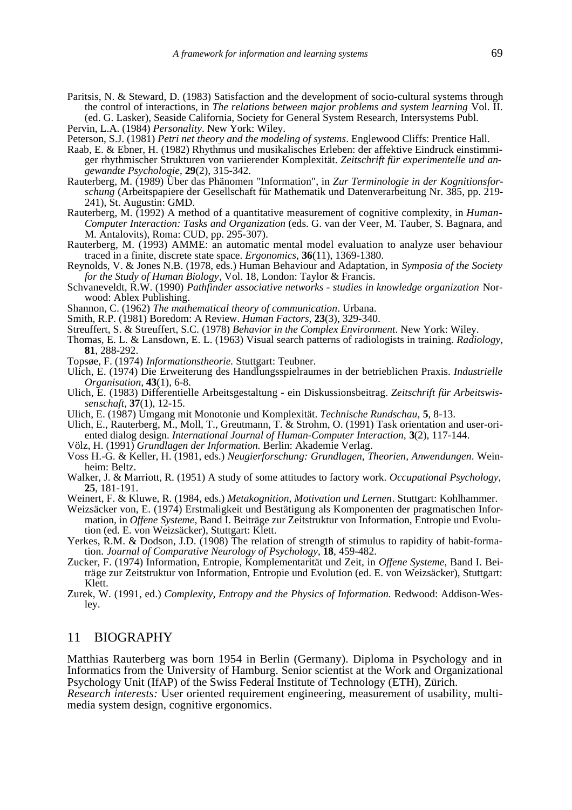- Paritsis, N. & Steward, D. (1983) Satisfaction and the development of socio-cultural systems through the control of interactions, in *The relations between major problems and system learning* Vol. II. (ed. G. Lasker), Seaside California, Society for General System Research, Intersystems Publ.
- Pervin, L.A. (1984) *Personality*. New York: Wiley.
- Peterson, S.J. (1981) *Petri net theory and the modeling of systems*. Englewood Cliffs: Prentice Hall.
- Raab, E. & Ebner, H. (1982) Rhythmus und musikalisches Erleben: der affektive Eindruck einstimmiger rhythmischer Strukturen von variierender Komplexität. *Zeitschrift für experimentelle und an-*
- *gewandte Psychologie*, **29**(2), 315-342. Rauterberg, M. (1989) Über das Phänomen "Information", in *Zur Terminologie in der Kognitionsforschung* (Arbeitspapiere der Gesellschaft für Mathematik und Datenverarbeitung Nr. 385, pp. 219- 241), St. Augustin: GMD.
- Rauterberg, M. (1992) A method of a quantitative measurement of cognitive complexity, in *Human-Computer Interaction: Tasks and Organization* (eds. G. van der Veer, M. Tauber, S. Bagnara, and M. Antalovits), Roma: CUD, pp. 295-307).
- Rauterberg, M. (1993) AMME: an automatic mental model evaluation to analyze user behaviour traced in a finite, discrete state space. *Ergonomics,* **36**(11), 1369-1380.
- Reynolds, V. & Jones N.B. (1978, eds.) Human Behaviour and Adaptation, in *Symposia of the Society for the Study of Human Biology*, Vol. 18, London: Taylor & Francis.
- Schvaneveldt, R.W. (1990) *Pathfinder associative networks studies in knowledge organization* Norwood: Ablex Publishing.
- Shannon, C. (1962) *The mathematical theory of communication*. Urbana.
- Smith, R.P. (1981) Boredom: A Review. *Human Factors,* **23**(3), 329-340.
- Streuffert, S. & Streuffert, S.C. (1978) *Behavior in the Complex Environment*. New York: Wiley.
- Thomas, E. L. & Lansdown, E. L. (1963) Visual search patterns of radiologists in training. *Radiology,* **81**, 288-292.
- Topsøe, F. (1974) *Informationstheorie.* Stuttgart: Teubner.
- Ulich, E. (1974) Die Erweiterung des Handlungsspielraumes in der betrieblichen Praxis. *Industrielle Organisation,* **43**(1), 6-8.
- Ulich, E. (1983) Differentielle Arbeitsgestaltung ein Diskussionsbeitrag. *Zeitschrift für Arbeitswissenschaft,* **37**(1), 12-15.
- Ulich, E. (1987) Umgang mit Monotonie und Komplexität. *Technische Rundschau,* **5**, 8-13.
- Ulich, E., Rauterberg, M., Moll, T., Greutmann, T. & Strohm, O. (1991) Task orientation and user-oriented dialog design. *International Journal of Human-Computer Interaction,* **3**(2), 117-144.
- Völz, H. (1991) *Grundlagen der Information.* Berlin: Akademie Verlag.
- Voss H.-G. & Keller, H. (1981, eds.) *Neugierforschung: Grundlagen, Theorien, Anwendungen*. Weinheim: Beltz.
- Walker, J. & Marriott, R. (1951) A study of some attitudes to factory work. *Occupational Psychology,* **25**, 181-191.
- Weinert, F. & Kluwe, R. (1984, eds.) *Metakognition, Motivation und Lernen*. Stuttgart: Kohlhammer.
- Weizsäcker von, E. (1974) Erstmaligkeit und Bestätigung als Komponenten der pragmatischen Information, in *Offene Systeme,* Band I. Beiträge zur Zeitstruktur von Information, Entropie und Evolution (ed. E. von Weizsäcker), Stuttgart: Klett.
- Yerkes, R.M. & Dodson, J.D. (1908) The relation of strength of stimulus to rapidity of habit-formation. *Journal of Comparative Neurology of Psychology*, **18**, 459-482.
- Zucker, F. (1974) Information, Entropie, Komplementarität und Zeit, in *Offene Systeme,* Band I. Beiträge zur Zeitstruktur von Information, Entropie und Evolution (ed. E. von Weizsäcker), Stuttgart: Klett.
- Zurek, W. (1991, ed.) *Complexity, Entropy and the Physics of Information.* Redwood: Addison-Wesley.

#### 11 BIOGRAPHY

Matthias Rauterberg was born 1954 in Berlin (Germany). Diploma in Psychology and in Informatics from the University of Hamburg. Senior scientist at the Work and Organizational Psychology Unit (IfAP) of the Swiss Federal Institute of Technology (ETH), Zürich.

*Research interests:* User oriented requirement engineering, measurement of usability, multimedia system design, cognitive ergonomics.